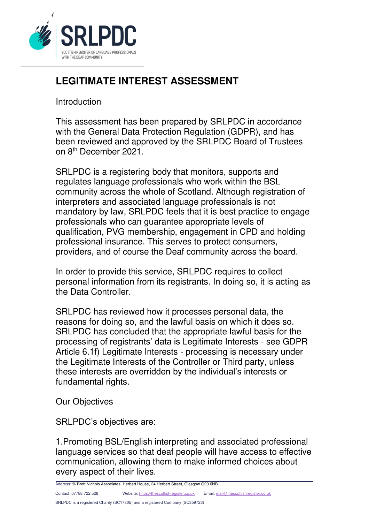

## **LEGITIMATE INTEREST ASSESSMENT**

## Introduction

This assessment has been prepared by SRLPDC in accordance with the General Data Protection Regulation (GDPR), and has been reviewed and approved by the SRLPDC Board of Trustees on 8th December 2021.

SRLPDC is a registering body that monitors, supports and regulates language professionals who work within the BSL community across the whole of Scotland. Although registration of interpreters and associated language professionals is not mandatory by law, SRLPDC feels that it is best practice to engage professionals who can guarantee appropriate levels of qualification, PVG membership, engagement in CPD and holding professional insurance. This serves to protect consumers, providers, and of course the Deaf community across the board.

In order to provide this service, SRLPDC requires to collect personal information from its registrants. In doing so, it is acting as the Data Controller.

SRLPDC has reviewed how it processes personal data, the reasons for doing so, and the lawful basis on which it does so. SRLPDC has concluded that the appropriate lawful basis for the processing of registrants' data is Legitimate Interests - see GDPR Article 6.1f) Legitimate Interests - processing is necessary under the Legitimate Interests of the Controller or Third party, unless these interests are overridden by the individual's interests or fundamental rights.

Our Objectives

SRLPDC's objectives are:

1.Promoting BSL/English interpreting and associated professional language services so that deaf people will have access to effective communication, allowing them to make informed choices about every aspect of their lives.

Address: ℅ Brett Nichols Associates, Herbert House, 24 Herbert Street, Glasgow G20 6NB

Contact: 07788 722 528 Website: [https://thescottishregister.co.uk](https://thescottishregister.co.uk/) Email[: mail@thescottishregister.co.uk](mailto:mail@thescottishregister.co.uk)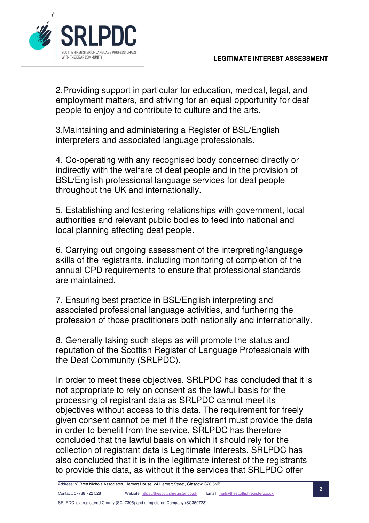

2.Providing support in particular for education, medical, legal, and employment matters, and striving for an equal opportunity for deaf people to enjoy and contribute to culture and the arts.

3.Maintaining and administering a Register of BSL/English interpreters and associated language professionals.

4. Co-operating with any recognised body concerned directly or indirectly with the welfare of deaf people and in the provision of BSL/English professional language services for deaf people throughout the UK and internationally.

5. Establishing and fostering relationships with government, local authorities and relevant public bodies to feed into national and local planning affecting deaf people.

6. Carrying out ongoing assessment of the interpreting/language skills of the registrants, including monitoring of completion of the annual CPD requirements to ensure that professional standards are maintained.

7. Ensuring best practice in BSL/English interpreting and associated professional language activities, and furthering the profession of those practitioners both nationally and internationally.

8. Generally taking such steps as will promote the status and reputation of the Scottish Register of Language Professionals with the Deaf Community (SRLPDC).

In order to meet these objectives, SRLPDC has concluded that it is not appropriate to rely on consent as the lawful basis for the processing of registrant data as SRLPDC cannot meet its objectives without access to this data. The requirement for freely given consent cannot be met if the registrant must provide the data in order to benefit from the service. SRLPDC has therefore concluded that the lawful basis on which it should rely for the collection of registrant data is Legitimate Interests. SRLPDC has also concluded that it is in the legitimate interest of the registrants to provide this data, as without it the services that SRLPDC offer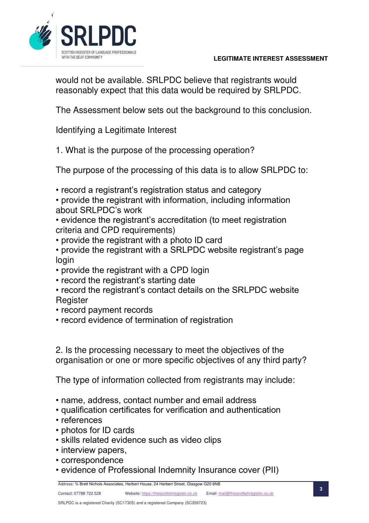



would not be available. SRLPDC believe that registrants would reasonably expect that this data would be required by SRLPDC.

The Assessment below sets out the background to this conclusion.

Identifying a Legitimate Interest

1. What is the purpose of the processing operation?

The purpose of the processing of this data is to allow SRLPDC to:

- record a registrant's registration status and category
- provide the registrant with information, including information about SRLPDC's work
- evidence the registrant's accreditation (to meet registration criteria and CPD requirements)
- provide the registrant with a photo ID card
- provide the registrant with a SRLPDC website registrant's page login
- provide the registrant with a CPD login
- record the registrant's starting date
- record the registrant's contact details on the SRLPDC website **Register**
- record payment records
- record evidence of termination of registration

2. Is the processing necessary to meet the objectives of the organisation or one or more specific objectives of any third party?

The type of information collected from registrants may include:

- name, address, contact number and email address
- qualification certificates for verification and authentication
- references
- photos for ID cards
- skills related evidence such as video clips
- interview papers,
- correspondence
- evidence of Professional Indemnity Insurance cover (PII)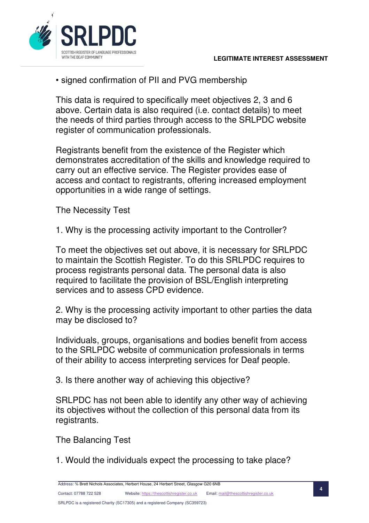

• signed confirmation of PII and PVG membership

This data is required to specifically meet objectives 2, 3 and 6 above. Certain data is also required (i.e. contact details) to meet the needs of third parties through access to the SRLPDC website register of communication professionals.

Registrants benefit from the existence of the Register which demonstrates accreditation of the skills and knowledge required to carry out an effective service. The Register provides ease of access and contact to registrants, offering increased employment opportunities in a wide range of settings.

The Necessity Test

1. Why is the processing activity important to the Controller?

To meet the objectives set out above, it is necessary for SRLPDC to maintain the Scottish Register. To do this SRLPDC requires to process registrants personal data. The personal data is also required to facilitate the provision of BSL/English interpreting services and to assess CPD evidence.

2. Why is the processing activity important to other parties the data may be disclosed to?

Individuals, groups, organisations and bodies benefit from access to the SRLPDC website of communication professionals in terms of their ability to access interpreting services for Deaf people.

3. Is there another way of achieving this objective?

SRLPDC has not been able to identify any other way of achieving its objectives without the collection of this personal data from its registrants.

The Balancing Test

1. Would the individuals expect the processing to take place?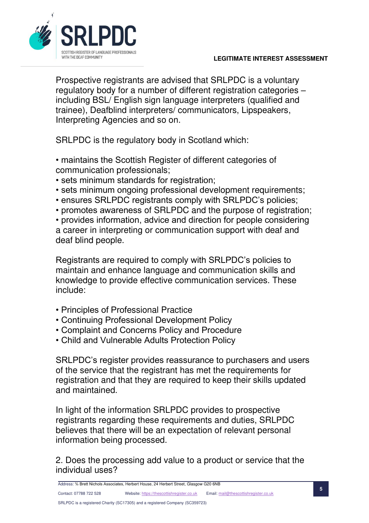

Prospective registrants are advised that SRLPDC is a voluntary regulatory body for a number of different registration categories – including BSL/ English sign language interpreters (qualified and trainee), Deafblind interpreters/ communicators, Lipspeakers, Interpreting Agencies and so on.

SRLPDC is the regulatory body in Scotland which:

- maintains the Scottish Register of different categories of communication professionals;
- sets minimum standards for registration;
- sets minimum ongoing professional development requirements;
- ensures SRLPDC registrants comply with SRLPDC's policies;
- promotes awareness of SRLPDC and the purpose of registration;

• provides information, advice and direction for people considering a career in interpreting or communication support with deaf and deaf blind people.

Registrants are required to comply with SRLPDC's policies to maintain and enhance language and communication skills and knowledge to provide effective communication services. These include:

- Principles of Professional Practice
- Continuing Professional Development Policy
- Complaint and Concerns Policy and Procedure
- Child and Vulnerable Adults Protection Policy

SRLPDC's register provides reassurance to purchasers and users of the service that the registrant has met the requirements for registration and that they are required to keep their skills updated and maintained.

In light of the information SRLPDC provides to prospective registrants regarding these requirements and duties, SRLPDC believes that there will be an expectation of relevant personal information being processed.

2. Does the processing add value to a product or service that the individual uses?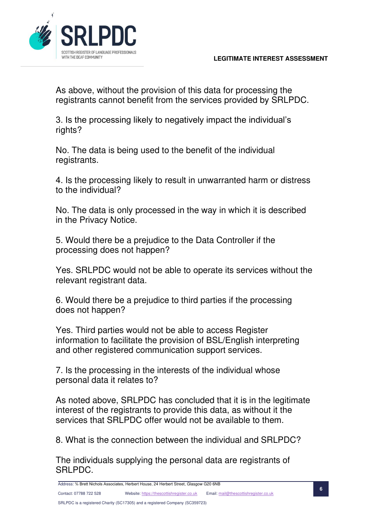

As above, without the provision of this data for processing the registrants cannot benefit from the services provided by SRLPDC.

3. Is the processing likely to negatively impact the individual's rights?

No. The data is being used to the benefit of the individual registrants.

4. Is the processing likely to result in unwarranted harm or distress to the individual?

No. The data is only processed in the way in which it is described in the Privacy Notice.

5. Would there be a prejudice to the Data Controller if the processing does not happen?

Yes. SRLPDC would not be able to operate its services without the relevant registrant data.

6. Would there be a prejudice to third parties if the processing does not happen?

Yes. Third parties would not be able to access Register information to facilitate the provision of BSL/English interpreting and other registered communication support services.

7. Is the processing in the interests of the individual whose personal data it relates to?

As noted above, SRLPDC has concluded that it is in the legitimate interest of the registrants to provide this data, as without it the services that SRLPDC offer would not be available to them.

8. What is the connection between the individual and SRLPDC?

The individuals supplying the personal data are registrants of SRLPDC.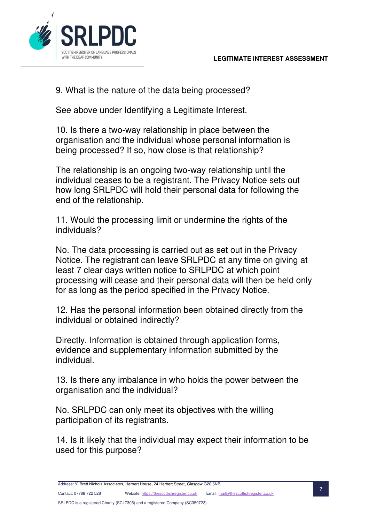

9. What is the nature of the data being processed?

See above under Identifying a Legitimate Interest.

10. Is there a two-way relationship in place between the organisation and the individual whose personal information is being processed? If so, how close is that relationship?

The relationship is an ongoing two-way relationship until the individual ceases to be a registrant. The Privacy Notice sets out how long SRLPDC will hold their personal data for following the end of the relationship.

11. Would the processing limit or undermine the rights of the individuals?

No. The data processing is carried out as set out in the Privacy Notice. The registrant can leave SRLPDC at any time on giving at least 7 clear days written notice to SRLPDC at which point processing will cease and their personal data will then be held only for as long as the period specified in the Privacy Notice.

12. Has the personal information been obtained directly from the individual or obtained indirectly?

Directly. Information is obtained through application forms, evidence and supplementary information submitted by the individual.

13. Is there any imbalance in who holds the power between the organisation and the individual?

No. SRLPDC can only meet its objectives with the willing participation of its registrants.

14. Is it likely that the individual may expect their information to be used for this purpose?

Contact: 07788 722 528 Website: [https://thescottishregister.co.uk](https://thescottishregister.co.uk/) Email[: mail@thescottishregister.co.uk](mailto:mail@thescottishregister.co.uk)